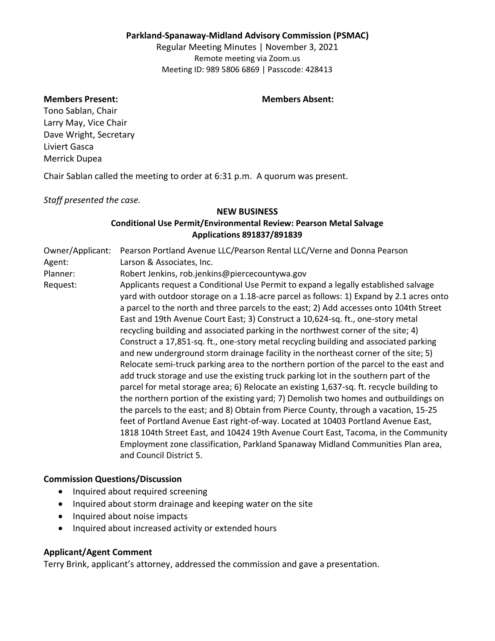### **Parkland-Spanaway-Midland Advisory Commission (PSMAC)**

Regular Meeting Minutes | November 3, 2021 Remote meeting via Zoom.us Meeting ID: 989 5806 6869 | Passcode: 428413

#### **Members Present: Members Absent:**

Tono Sablan, Chair Larry May, Vice Chair Dave Wright, Secretary Liviert Gasca Merrick Dupea

Chair Sablan called the meeting to order at 6:31 p.m. A quorum was present.

*Staff presented the case.*

#### **NEW BUSINESS**

# **Conditional Use Permit/Environmental Review: Pearson Metal Salvage Applications 891837/891839**

Owner/Applicant: Pearson Portland Avenue LLC/Pearson Rental LLC/Verne and Donna Pearson Agent: Larson & Associates, Inc. Planner: Robert Jenkins, rob.jenkins@piercecountywa.gov Request: Applicants request a Conditional Use Permit to expand a legally established salvage yard with outdoor storage on a 1.18-acre parcel as follows: 1) Expand by 2.1 acres onto a parcel to the north and three parcels to the east; 2) Add accesses onto 104th Street East and 19th Avenue Court East; 3) Construct a 10,624-sq. ft., one-story metal recycling building and associated parking in the northwest corner of the site; 4) Construct a 17,851-sq. ft., one-story metal recycling building and associated parking and new underground storm drainage facility in the northeast corner of the site; 5) Relocate semi-truck parking area to the northern portion of the parcel to the east and add truck storage and use the existing truck parking lot in the southern part of the parcel for metal storage area; 6) Relocate an existing 1,637-sq. ft. recycle building to the northern portion of the existing yard; 7) Demolish two homes and outbuildings on the parcels to the east; and 8) Obtain from Pierce County, through a vacation, 15-25 feet of Portland Avenue East right-of-way. Located at 10403 Portland Avenue East, 1818 104th Street East, and 10424 19th Avenue Court East, Tacoma, in the Community Employment zone classification, Parkland Spanaway Midland Communities Plan area, and Council District 5.

### **Commission Questions/Discussion**

- Inquired about required screening
- Inquired about storm drainage and keeping water on the site
- Inquired about noise impacts
- Inquired about increased activity or extended hours

### **Applicant/Agent Comment**

Terry Brink, applicant's attorney, addressed the commission and gave a presentation.